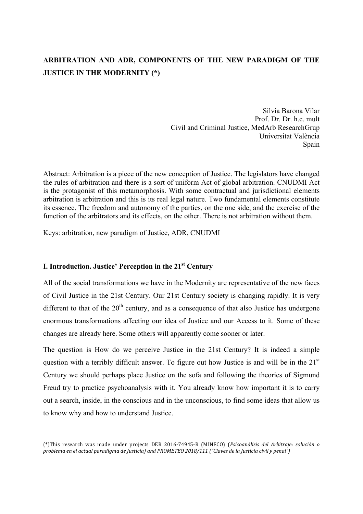# **ARBITRATION AND ADR, COMPONENTS OF THE NEW PARADIGM OF THE JUSTICE IN THE MODERNITY (\*)**

Silvia Barona Vilar Prof. Dr. Dr. h.c. mult Civil and Criminal Justice, MedArb ResearchGrup Universitat València Spain

Abstract: Arbitration is a piece of the new conception of Justice. The legislators have changed the rules of arbitration and there is a sort of uniform Act of global arbitration. CNUDMI Act is the protagonist of this metamorphosis. With some contractual and jurisdictional elements arbitration is arbitration and this is its real legal nature. Two fundamental elements constitute its essence. The freedom and autonomy of the parties, on the one side, and the exercise of the function of the arbitrators and its effects, on the other. There is not arbitration without them.

Keys: arbitration, new paradigm of Justice, ADR, CNUDMI

## **I. Introduction. Justice' Perception in the 21st Century**

All of the social transformations we have in the Modernity are representative of the new faces of Civil Justice in the 21st Century. Our 21st Century society is changing rapidly. It is very different to that of the  $20<sup>th</sup>$  century, and as a consequence of that also Justice has undergone enormous transformations affecting our idea of Justice and our Access to it. Some of these changes are already here. Some others will apparently come sooner or later.

The question is How do we perceive Justice in the 21st Century? It is indeed a simple question with a terribly difficult answer. To figure out how Justice is and will be in the  $21<sup>st</sup>$ Century we should perhaps place Justice on the sofa and following the theories of Sigmund Freud try to practice psychoanalysis with it. You already know how important it is to carry out a search, inside, in the conscious and in the unconscious, to find some ideas that allow us to know why and how to understand Justice.

<sup>(\*)</sup>This research was made under projects DER 2016-74945-R (MINECO) (Psicoanálisis del Arbitraje: solución o *problema en el actual paradigma de Justicia)* and PROMETEO 2018/111 ("Claves de la Justicia civil y penal")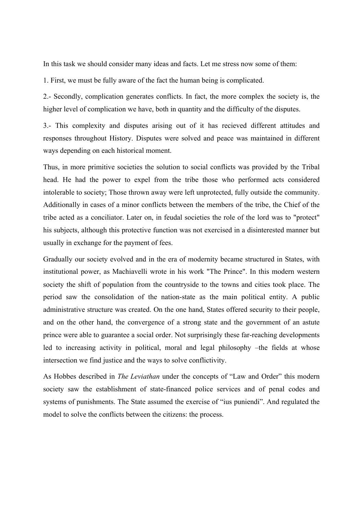In this task we should consider many ideas and facts. Let me stress now some of them:

1. First, we must be fully aware of the fact the human being is complicated.

2.- Secondly, complication generates conflicts. In fact, the more complex the society is, the higher level of complication we have, both in quantity and the difficulty of the disputes.

3.- This complexity and disputes arising out of it has recieved different attitudes and responses throughout History. Disputes were solved and peace was maintained in different ways depending on each historical moment.

Thus, in more primitive societies the solution to social conflicts was provided by the Tribal head. He had the power to expel from the tribe those who performed acts considered intolerable to society; Those thrown away were left unprotected, fully outside the community. Additionally in cases of a minor conflicts between the members of the tribe, the Chief of the tribe acted as a conciliator. Later on, in feudal societies the role of the lord was to "protect" his subjects, although this protective function was not exercised in a disinterested manner but usually in exchange for the payment of fees.

Gradually our society evolved and in the era of modernity became structured in States, with institutional power, as Machiavelli wrote in his work "The Prince". In this modern western society the shift of population from the countryside to the towns and cities took place. The period saw the consolidation of the nation-state as the main political entity. A public administrative structure was created. On the one hand, States offered security to their people, and on the other hand, the convergence of a strong state and the government of an astute prince were able to guarantee a social order. Not surprisingly these far-reaching developments led to increasing activity in political, moral and legal philosophy –the fields at whose intersection we find justice and the ways to solve conflictivity.

As Hobbes described in *The Leviathan* under the concepts of "Law and Order" this modern society saw the establishment of state-financed police services and of penal codes and systems of punishments. The State assumed the exercise of "ius puniendi". And regulated the model to solve the conflicts between the citizens: the process.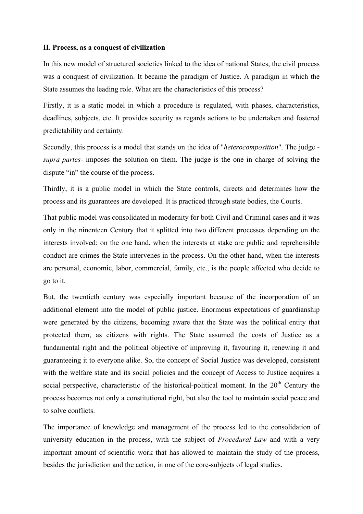## **II. Process, as a conquest of civilization**

In this new model of structured societies linked to the idea of national States, the civil process was a conquest of civilization. It became the paradigm of Justice. A paradigm in which the State assumes the leading role. What are the characteristics of this process?

Firstly, it is a static model in which a procedure is regulated, with phases, characteristics, deadlines, subjects, etc. It provides security as regards actions to be undertaken and fostered predictability and certainty.

Secondly, this process is a model that stands on the idea of "*heterocomposition*". The judge *supra partes*- imposes the solution on them. The judge is the one in charge of solving the dispute "in" the course of the process.

Thirdly, it is a public model in which the State controls, directs and determines how the process and its guarantees are developed. It is practiced through state bodies, the Courts.

That public model was consolidated in modernity for both Civil and Criminal cases and it was only in the ninenteen Century that it splitted into two different processes depending on the interests involved: on the one hand, when the interests at stake are public and reprehensible conduct are crimes the State intervenes in the process. On the other hand, when the interests are personal, economic, labor, commercial, family, etc., is the people affected who decide to go to it.

But, the twentieth century was especially important because of the incorporation of an additional element into the model of public justice. Enormous expectations of guardianship were generated by the citizens, becoming aware that the State was the political entity that protected them, as citizens with rights. The State assumed the costs of Justice as a fundamental right and the political objective of improving it, favouring it, renewing it and guaranteeing it to everyone alike. So, the concept of Social Justice was developed, consistent with the welfare state and its social policies and the concept of Access to Justice acquires a social perspective, characteristic of the historical-political moment. In the  $20<sup>th</sup>$  Century the process becomes not only a constitutional right, but also the tool to maintain social peace and to solve conflicts.

The importance of knowledge and management of the process led to the consolidation of university education in the process, with the subject of *Procedural Law* and with a very important amount of scientific work that has allowed to maintain the study of the process, besides the jurisdiction and the action, in one of the core-subjects of legal studies.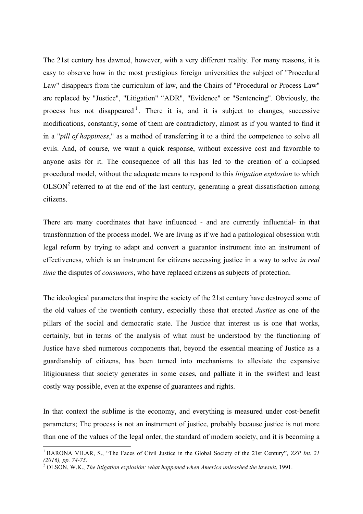The 21st century has dawned, however, with a very different reality. For many reasons, it is easy to observe how in the most prestigious foreign universities the subject of "Procedural Law" disappears from the curriculum of law, and the Chairs of "Procedural or Process Law" are replaced by "Justice", "Litigation" "ADR", "Evidence" or "Sentencing". Obviously, the process has not disappeared  $1$ . There it is, and it is subject to changes, successive modifications, constantly, some of them are contradictory, almost as if you wanted to find it in a "*pill of happiness*," as a method of transferring it to a third the competence to solve all evils. And, of course, we want a quick response, without excessive cost and favorable to anyone asks for it. The consequence of all this has led to the creation of a collapsed procedural model, without the adequate means to respond to this *litigation explosion* to which  $OLSON<sup>2</sup>$  referred to at the end of the last century, generating a great dissatisfaction among citizens.

There are many coordinates that have influenced - and are currently influential- in that transformation of the process model. We are living as if we had a pathological obsession with legal reform by trying to adapt and convert a guarantor instrument into an instrument of effectiveness, which is an instrument for citizens accessing justice in a way to solve *in real time* the disputes of *consumers*, who have replaced citizens as subjects of protection.

The ideological parameters that inspire the society of the 21st century have destroyed some of the old values of the twentieth century, especially those that erected *Justice* as one of the pillars of the social and democratic state. The Justice that interest us is one that works, certainly, but in terms of the analysis of what must be understood by the functioning of Justice have shed numerous components that, beyond the essential meaning of Justice as a guardianship of citizens, has been turned into mechanisms to alleviate the expansive litigiousness that society generates in some cases, and palliate it in the swiftest and least costly way possible, even at the expense of guarantees and rights.

In that context the sublime is the economy, and everything is measured under cost-benefit parameters; The process is not an instrument of justice, probably because justice is not more than one of the values of the legal order, the standard of modern society, and it is becoming a

<sup>&</sup>lt;sup>1</sup> BARONA VILAR, S., "The Faces of Civil Justice in the Global Society of the 21st Century", *ZZP Int. 21* (2016), pp. 74-75.

*<sup>(2016),</sup> pp. 74-75.* <sup>2</sup> OLSON, W.K., *The litigation explosión: what happened when America unleashed the lawsuit*, 1991.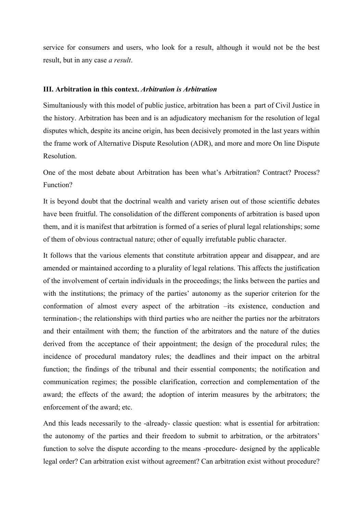service for consumers and users, who look for a result, although it would not be the best result, but in any case *a result*.

## **III. Arbitration in this context.** *Arbitration is Arbitration*

Simultaniously with this model of public justice, arbitration has been a part of Civil Justice in the history. Arbitration has been and is an adjudicatory mechanism for the resolution of legal disputes which, despite its ancine origin, has been decisively promoted in the last years within the frame work of Alternative Dispute Resolution (ADR), and more and more On line Dispute Resolution.

One of the most debate about Arbitration has been what's Arbitration? Contract? Process? Function?

It is beyond doubt that the doctrinal wealth and variety arisen out of those scientific debates have been fruitful. The consolidation of the different components of arbitration is based upon them, and it is manifest that arbitration is formed of a series of plural legal relationships; some of them of obvious contractual nature; other of equally irrefutable public character.

It follows that the various elements that constitute arbitration appear and disappear, and are amended or maintained according to a plurality of legal relations. This affects the justification of the involvement of certain individuals in the proceedings; the links between the parties and with the institutions; the primacy of the parties' autonomy as the superior criterion for the conformation of almost every aspect of the arbitration –its existence, conduction and termination-; the relationships with third parties who are neither the parties nor the arbitrators and their entailment with them; the function of the arbitrators and the nature of the duties derived from the acceptance of their appointment; the design of the procedural rules; the incidence of procedural mandatory rules; the deadlines and their impact on the arbitral function; the findings of the tribunal and their essential components; the notification and communication regimes; the possible clarification, correction and complementation of the award; the effects of the award; the adoption of interim measures by the arbitrators; the enforcement of the award; etc.

And this leads necessarily to the -already- classic question: what is essential for arbitration: the autonomy of the parties and their freedom to submit to arbitration, or the arbitrators' function to solve the dispute according to the means -procedure- designed by the applicable legal order? Can arbitration exist without agreement? Can arbitration exist without procedure?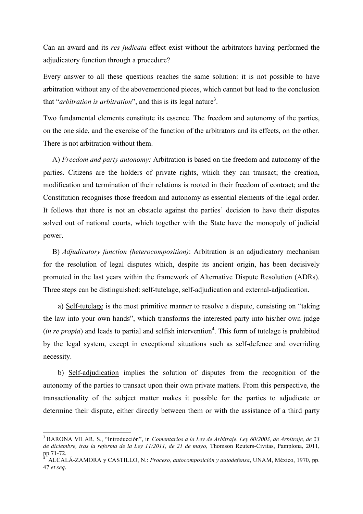Can an award and its *res judicata* effect exist without the arbitrators having performed the adjudicatory function through a procedure?

Every answer to all these questions reaches the same solution: it is not possible to have arbitration without any of the abovementioned pieces, which cannot but lead to the conclusion that "*arbitration is arbitration*", and this is its legal nature<sup>3</sup>.

Two fundamental elements constitute its essence. The freedom and autonomy of the parties, on the one side, and the exercise of the function of the arbitrators and its effects, on the other. There is not arbitration without them.

 A) *Freedom and party autonomy:* Arbitration is based on the freedom and autonomy of the parties. Citizens are the holders of private rights, which they can transact; the creation, modification and termination of their relations is rooted in their freedom of contract; and the Constitution recognises those freedom and autonomy as essential elements of the legal order. It follows that there is not an obstacle against the parties' decision to have their disputes solved out of national courts, which together with the State have the monopoly of judicial power.

 B) *Adjudicatory function (heterocomposition)*: Arbitration is an adjudicatory mechanism for the resolution of legal disputes which, despite its ancient origin, has been decisively promoted in the last years within the framework of Alternative Dispute Resolution (ADRs). Three steps can be distinguished: self-tutelage, self-adjudication and external-adjudication.

 a) Self-tutelage is the most primitive manner to resolve a dispute, consisting on "taking the law into your own hands", which transforms the interested party into his/her own judge  $(in \, rep, n)$  and leads to partial and selfish intervention<sup>4</sup>. This form of tutelage is prohibited by the legal system, except in exceptional situations such as self-defence and overriding necessity.

 b) Self-adjudication implies the solution of disputes from the recognition of the autonomy of the parties to transact upon their own private matters. From this perspective, the transactionality of the subject matter makes it possible for the parties to adjudicate or determine their dispute, either directly between them or with the assistance of a third party

 <sup>3</sup> BARONA VILAR, S., "Introducción", in *Comentarios a la Ley de Arbitraje. Ley 60/2003, de Arbitraje, de 23 de diciembre, tras la reforma de la Ley 11/2011, de 21 de mayo*, Thomson Reuters-Civitas, Pamplona, 2011, pp.71-72. <sup>4</sup>

ALCALÁ-ZAMORA y CASTILLO, N.: *Proceso, autocomposición y autodefensa*, UNAM, México, 1970, pp. 47 *et seq*.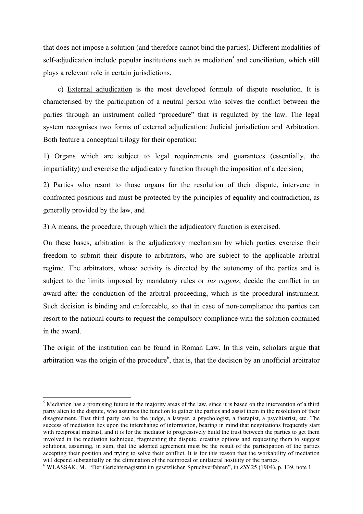that does not impose a solution (and therefore cannot bind the parties). Different modalities of self-adjudication include popular institutions such as mediation<sup>5</sup> and conciliation, which still plays a relevant role in certain jurisdictions.

 c) External adjudication is the most developed formula of dispute resolution. It is characterised by the participation of a neutral person who solves the conflict between the parties through an instrument called "procedure" that is regulated by the law. The legal system recognises two forms of external adjudication: Judicial jurisdiction and Arbitration. Both feature a conceptual trilogy for their operation:

1) Organs which are subject to legal requirements and guarantees (essentially, the impartiality) and exercise the adjudicatory function through the imposition of a decision;

2) Parties who resort to those organs for the resolution of their dispute, intervene in confronted positions and must be protected by the principles of equality and contradiction, as generally provided by the law, and

3) A means, the procedure, through which the adjudicatory function is exercised.

On these bases, arbitration is the adjudicatory mechanism by which parties exercise their freedom to submit their dispute to arbitrators, who are subject to the applicable arbitral regime. The arbitrators, whose activity is directed by the autonomy of the parties and is subject to the limits imposed by mandatory rules or *ius cogens*, decide the conflict in an award after the conduction of the arbitral proceeding, which is the procedural instrument. Such decision is binding and enforceable, so that in case of non-compliance the parties can resort to the national courts to request the compulsory compliance with the solution contained in the award.

The origin of the institution can be found in Roman Law. In this vein, scholars argue that arbitration was the origin of the procedure $<sup>6</sup>$ , that is, that the decision by an unofficial arbitrator</sup>

 $<sup>5</sup>$  Mediation has a promising future in the majority areas of the law, since it is based on the intervention of a third</sup> party alien to the dispute, who assumes the function to gather the parties and assist them in the resolution of their disagreement. That third party can be the judge, a lawyer, a psychologist, a therapist, a psychiatrist, etc. The success of mediation lies upon the interchange of information, bearing in mind that negotiations frequently start with reciprocal mistrust, and it is for the mediator to progressively build the trust between the parties to get them involved in the mediation technique, fragmenting the dispute, creating options and requesting them to suggest solutions, assuming, in sum, that the adopted agreement must be the result of the participation of the parties accepting their position and trying to solve their conflict. It is for this reason that the workability of mediation will depend substantially on the elimination of the reciprocal or unilateral hostility of the parties.

<sup>6</sup> WLASSAK, M.: "Der Gerichtsmagistrat im gesetzlichen Spruchverfahren", in *ZSS* 25 (1904), p. 139, note 1.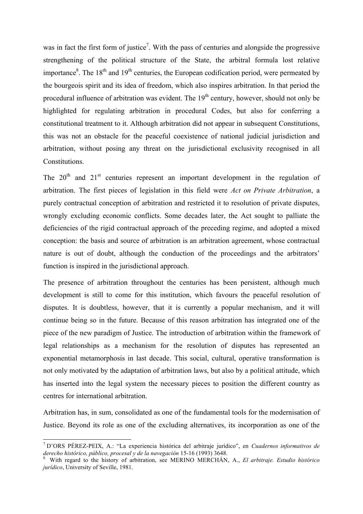was in fact the first form of justice<sup>7</sup>. With the pass of centuries and alongside the progressive strengthening of the political structure of the State, the arbitral formula lost relative importance<sup>8</sup>. The 18<sup>th</sup> and 19<sup>th</sup> centuries, the European codification period, were permeated by the bourgeois spirit and its idea of freedom, which also inspires arbitration. In that period the procedural influence of arbitration was evident. The  $19<sup>th</sup>$  century, however, should not only be highlighted for regulating arbitration in procedural Codes, but also for conferring a constitutional treatment to it. Although arbitration did not appear in subsequent Constitutions, this was not an obstacle for the peaceful coexistence of national judicial jurisdiction and arbitration, without posing any threat on the jurisdictional exclusivity recognised in all Constitutions.

The  $20<sup>th</sup>$  and  $21<sup>st</sup>$  centuries represent an important development in the regulation of arbitration. The first pieces of legislation in this field were *Act on Private Arbitration*, a purely contractual conception of arbitration and restricted it to resolution of private disputes, wrongly excluding economic conflicts. Some decades later, the Act sought to palliate the deficiencies of the rigid contractual approach of the preceding regime, and adopted a mixed conception: the basis and source of arbitration is an arbitration agreement, whose contractual nature is out of doubt, although the conduction of the proceedings and the arbitrators' function is inspired in the jurisdictional approach.

The presence of arbitration throughout the centuries has been persistent, although much development is still to come for this institution, which favours the peaceful resolution of disputes. It is doubtless, however, that it is currently a popular mechanism, and it will continue being so in the future. Because of this reason arbitration has integrated one of the piece of the new paradigm of Justice. The introduction of arbitration within the framework of legal relationships as a mechanism for the resolution of disputes has represented an exponential metamorphosis in last decade. This social, cultural, operative transformation is not only motivated by the adaptation of arbitration laws, but also by a political attitude, which has inserted into the legal system the necessary pieces to position the different country as centres for international arbitration.

Arbitration has, in sum, consolidated as one of the fundamental tools for the modernisation of Justice. Beyond its role as one of the excluding alternatives, its incorporation as one of the

 <sup>7</sup> D'ORS PÉREZ-PEIX, A.: "La experiencia histórica del arbitraje jurídico", en *Cuadernos informativos de*  derecho histórico, público, procesal y de la navegación 15-16 (1993) 3648.

With regard to the history of arbitration, see MERINO MERCHÁN, A., *El arbitraje. Estudio histórico jurídico*, University of Seville, 1981.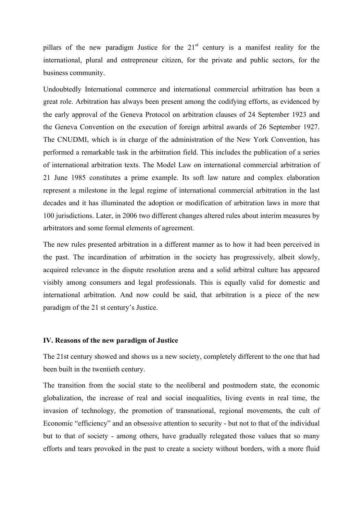pillars of the new paradigm Justice for the  $21<sup>st</sup>$  century is a manifest reality for the international, plural and entrepreneur citizen, for the private and public sectors, for the business community.

Undoubtedly International commerce and international commercial arbitration has been a great role. Arbitration has always been present among the codifying efforts, as evidenced by the early approval of the Geneva Protocol on arbitration clauses of 24 September 1923 and the Geneva Convention on the execution of foreign arbitral awards of 26 September 1927. The CNUDMI, which is in charge of the administration of the New York Convention, has performed a remarkable task in the arbitration field. This includes the publication of a series of international arbitration texts. The Model Law on international commercial arbitration of 21 June 1985 constitutes a prime example. Its soft law nature and complex elaboration represent a milestone in the legal regime of international commercial arbitration in the last decades and it has illuminated the adoption or modification of arbitration laws in more that 100 jurisdictions. Later, in 2006 two different changes altered rules about interim measures by arbitrators and some formal elements of agreement.

The new rules presented arbitration in a different manner as to how it had been perceived in the past. The incardination of arbitration in the society has progressively, albeit slowly, acquired relevance in the dispute resolution arena and a solid arbitral culture has appeared visibly among consumers and legal professionals. This is equally valid for domestic and international arbitration. And now could be said, that arbitration is a piece of the new paradigm of the 21 st century's Justice.

## **IV. Reasons of the new paradigm of Justice**

The 21st century showed and shows us a new society, completely different to the one that had been built in the twentieth century.

The transition from the social state to the neoliberal and postmodern state, the economic globalization, the increase of real and social inequalities, living events in real time, the invasion of technology, the promotion of transnational, regional movements, the cult of Economic "efficiency" and an obsessive attention to security - but not to that of the individual but to that of society - among others, have gradually relegated those values that so many efforts and tears provoked in the past to create a society without borders, with a more fluid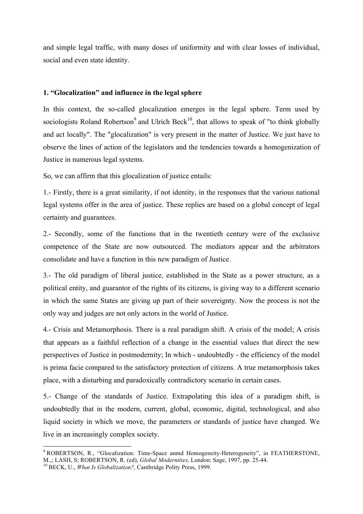and simple legal traffic, with many doses of uniformity and with clear losses of individual, social and even state identity.

## **1. "Glocalization" and influence in the legal sphere**

In this context, the so-called glocalization emerges in the legal sphere. Term used by sociologists Roland Robertson<sup>9</sup> and Ulrich Beck<sup>10</sup>, that allows to speak of "to think globally and act locally". The "glocalization" is very present in the matter of Justice. We just have to observe the lines of action of the legislators and the tendencies towards a homogenization of Justice in numerous legal systems.

So, we can affirm that this glocalization of justice entails:

1.- Firstly, there is a great similarity, if not identity, in the responses that the various national legal systems offer in the area of justice. These replies are based on a global concept of legal certainty and guarantees.

2.- Secondly, some of the functions that in the twentieth century were of the exclusive competence of the State are now outsourced. The mediators appear and the arbitrators consolidate and have a function in this new paradigm of Justice.

3.- The old paradigm of liberal justice, established in the State as a power structure, as a political entity, and guarantor of the rights of its citizens, is giving way to a different scenario in which the same States are giving up part of their sovereignty. Now the process is not the only way and judges are not only actors in the world of Justice.

4.- Crisis and Metamorphosis. There is a real paradigm shift. A crisis of the model; A crisis that appears as a faithful reflection of a change in the essential values that direct the new perspectives of Justice in postmodernity; In which - undoubtedly - the efficiency of the model is prima facie compared to the satisfactory protection of citizens. A true metamorphosis takes place, with a disturbing and paradoxically contradictory scenario in certain cases.

5.- Change of the standards of Justice. Extrapolating this idea of a paradigm shift, is undoubtedly that in the modern, current, global, economic, digital, technological, and also liquid society in which we move, the parameters or standards of justice have changed. We live in an increasingly complex society.

<sup>&</sup>lt;sup>9</sup> ROBERTSON, R., "Glocalization: Time-Space anmd Homogeneity-Heterogeneity", in FEATHERSTONE, M.,; LASH, S; ROBERTSON, R. (ed), *Global Modernities*, London: Sage, 1997, pp. 25-44.<br><sup>10</sup> BECK, U., *What Is Globalization?*, Cambridge Polity Press, 1999.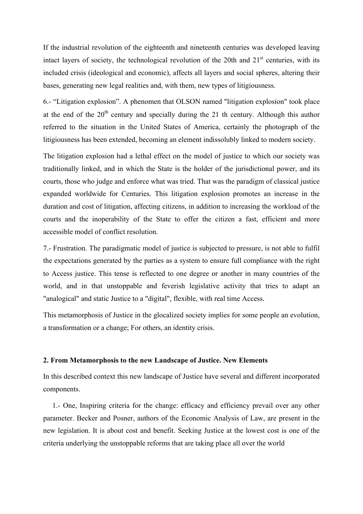If the industrial revolution of the eighteenth and nineteenth centuries was developed leaving intact layers of society, the technological revolution of the 20th and  $21<sup>st</sup>$  centuries, with its included crisis (ideological and economic), affects all layers and social spheres, altering their bases, generating new legal realities and, with them, new types of litigiousness.

6.- "Litigation explosion". A phenomen that OLSON named "litigation explosion" took place at the end of the  $20<sup>th</sup>$  century and specially during the 21 th century. Although this author referred to the situation in the United States of America, certainly the photograph of the litigiousness has been extended, becoming an element indissolubly linked to modern society.

The litigation explosion had a lethal effect on the model of justice to which our society was traditionally linked, and in which the State is the holder of the jurisdictional power, and its courts, those who judge and enforce what was tried. That was the paradigm of classical justice expanded worldwide for Centuries. This litigation explosion promotes an increase in the duration and cost of litigation, affecting citizens, in addition to increasing the workload of the courts and the inoperability of the State to offer the citizen a fast, efficient and more accessible model of conflict resolution.

7.- Frustration. The paradigmatic model of justice is subjected to pressure, is not able to fulfil the expectations generated by the parties as a system to ensure full compliance with the right to Access justice. This tense is reflected to one degree or another in many countries of the world, and in that unstoppable and feverish legislative activity that tries to adapt an "analogical" and static Justice to a "digital", flexible, with real time Access.

This metamorphosis of Justice in the glocalized society implies for some people an evolution, a transformation or a change; For others, an identity crisis.

## **2. From Metamorphosis to the new Landscape of Justice. New Elements**

In this described context this new landscape of Justice have several and different incorporated components.

 1.- One, Inspiring criteria for the change: efficacy and efficiency prevail over any other parameter. Becker and Posner, authors of the Economic Analysis of Law, are present in the new legislation. It is about cost and benefit. Seeking Justice at the lowest cost is one of the criteria underlying the unstoppable reforms that are taking place all over the world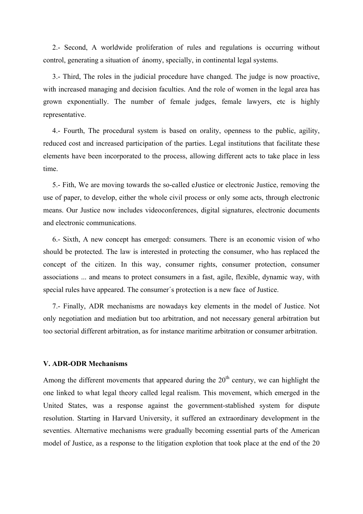2.- Second, A worldwide proliferation of rules and regulations is occurring without control, generating a situation of ánomy, specially, in continental legal systems.

 3.- Third, The roles in the judicial procedure have changed. The judge is now proactive, with increased managing and decision faculties. And the role of women in the legal area has grown exponentially. The number of female judges, female lawyers, etc is highly representative.

 4.- Fourth, The procedural system is based on orality, openness to the public, agility, reduced cost and increased participation of the parties. Legal institutions that facilitate these elements have been incorporated to the process, allowing different acts to take place in less time.

 5.- Fith, We are moving towards the so-called eJustice or electronic Justice, removing the use of paper, to develop, either the whole civil process or only some acts, through electronic means. Our Justice now includes videoconferences, digital signatures, electronic documents and electronic communications.

 6.- Sixth, A new concept has emerged: consumers. There is an economic vision of who should be protected. The law is interested in protecting the consumer, who has replaced the concept of the citizen. In this way, consumer rights, consumer protection, consumer associations ... and means to protect consumers in a fast, agile, flexible, dynamic way, with special rules have appeared. The consumer´s protection is a new face of Justice.

 7.- Finally, ADR mechanisms are nowadays key elements in the model of Justice. Not only negotiation and mediation but too arbitration, and not necessary general arbitration but too sectorial different arbitration, as for instance maritime arbitration or consumer arbitration.

## **V. ADR-ODR Mechanisms**

Among the different movements that appeared during the  $20<sup>th</sup>$  century, we can highlight the one linked to what legal theory called legal realism. This movement, which emerged in the United States, was a response against the government-stablished system for dispute resolution. Starting in Harvard University, it suffered an extraordinary development in the seventies. Alternative mechanisms were gradually becoming essential parts of the American model of Justice, as a response to the litigation explotion that took place at the end of the 20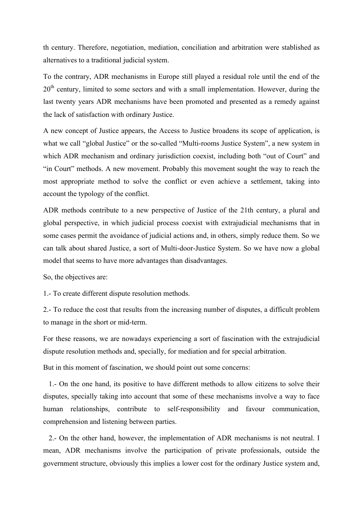th century. Therefore, negotiation, mediation, conciliation and arbitration were stablished as alternatives to a traditional judicial system.

To the contrary, ADR mechanisms in Europe still played a residual role until the end of the 20<sup>th</sup> century, limited to some sectors and with a small implementation. However, during the last twenty years ADR mechanisms have been promoted and presented as a remedy against the lack of satisfaction with ordinary Justice.

A new concept of Justice appears, the Access to Justice broadens its scope of application, is what we call "global Justice" or the so-called "Multi-rooms Justice System", a new system in which ADR mechanism and ordinary jurisdiction coexist, including both "out of Court" and "in Court" methods. A new movement. Probably this movement sought the way to reach the most appropriate method to solve the conflict or even achieve a settlement, taking into account the typology of the conflict.

ADR methods contribute to a new perspective of Justice of the 21th century, a plural and global perspective, in which judicial process coexist with extrajudicial mechanisms that in some cases permit the avoidance of judicial actions and, in others, simply reduce them. So we can talk about shared Justice, a sort of Multi-door-Justice System. So we have now a global model that seems to have more advantages than disadvantages.

So, the objectives are:

1.- To create different dispute resolution methods.

2.- To reduce the cost that results from the increasing number of disputes, a difficult problem to manage in the short or mid-term.

For these reasons, we are nowadays experiencing a sort of fascination with the extrajudicial dispute resolution methods and, specially, for mediation and for special arbitration.

But in this moment of fascination, we should point out some concerns:

 1.- On the one hand, its positive to have different methods to allow citizens to solve their disputes, specially taking into account that some of these mechanisms involve a way to face human relationships, contribute to self-responsibility and favour communication, comprehension and listening between parties.

 2.- On the other hand, however, the implementation of ADR mechanisms is not neutral. I mean, ADR mechanisms involve the participation of private professionals, outside the government structure, obviously this implies a lower cost for the ordinary Justice system and,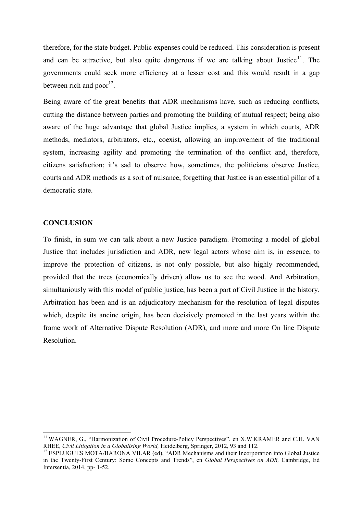therefore, for the state budget. Public expenses could be reduced. This consideration is present and can be attractive, but also quite dangerous if we are talking about Justice<sup>11</sup>. The governments could seek more efficiency at a lesser cost and this would result in a gap between rich and poor $^{12}$ .

Being aware of the great benefits that ADR mechanisms have, such as reducing conflicts, cutting the distance between parties and promoting the building of mutual respect; being also aware of the huge advantage that global Justice implies, a system in which courts, ADR methods, mediators, arbitrators, etc., coexist, allowing an improvement of the traditional system, increasing agility and promoting the termination of the conflict and, therefore, citizens satisfaction; it's sad to observe how, sometimes, the politicians observe Justice, courts and ADR methods as a sort of nuisance, forgetting that Justice is an essential pillar of a democratic state.

## **CONCLUSION**

To finish, in sum we can talk about a new Justice paradigm. Promoting a model of global Justice that includes jurisdiction and ADR, new legal actors whose aim is, in essence, to improve the protection of citizens, is not only possible, but also highly recommended, provided that the trees (economically driven) allow us to see the wood. And Arbitration, simultaniously with this model of public justice, has been a part of Civil Justice in the history. Arbitration has been and is an adjudicatory mechanism for the resolution of legal disputes which, despite its ancine origin, has been decisively promoted in the last years within the frame work of Alternative Dispute Resolution (ADR), and more and more On line Dispute Resolution.

<sup>&</sup>lt;sup>11</sup> WAGNER, G., "Harmonization of Civil Procedure-Policy Perspectives", en X.W.KRAMER and C.H. VAN RHEE, *Civil Litigation in a Globalising World*, Heidelberg, Springer, 2012, 93 and 112.

<sup>&</sup>lt;sup>12</sup> ESPLUGUES MOTA/BARONA VILAR (ed), "ADR Mechanisms and their Incorporation into Global Justice in the Twenty-First Century: Some Concepts and Trends", en *Global Perspectives on ADR,* Cambridge, Ed Intersentia, 2014, pp- 1-52.